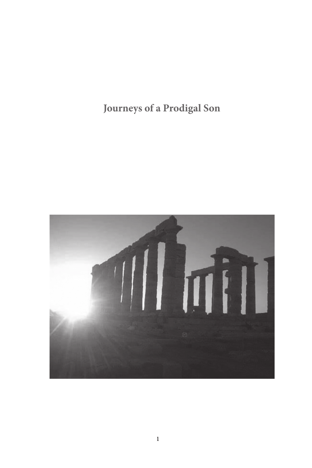**Journeys of a Prodigal Son**

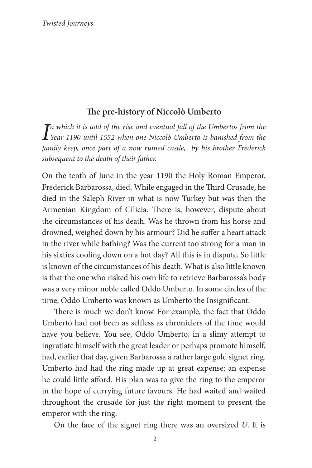# **The pre-history of Niccolò Umberto**

*I*<sup>n</sup> which it is told of the rise and eventual fall of the Umbertos from the Year 1190 until 1552 when one Niccolò Umberto is banished from the *n which it is told of the rise and eventual fall of the Umbertos from the family keep, once part of a now ruined castle, by his brother Frederick subsequent to the death of their father.*

On the tenth of June in the year 1190 the Holy Roman Emperor, Frederick Barbarossa, died. While engaged in the Third Crusade, he died in the Saleph River in what is now Turkey but was then the Armenian Kingdom of Cilicia. There is, however, dispute about the circumstances of his death. Was he thrown from his horse and drowned, weighed down by his armour? Did he suffer a heart attack in the river while bathing? Was the current too strong for a man in his sixties cooling down on a hot day? All this is in dispute. So little is known of the circumstances of his death. What is also little known is that the one who risked his own life to retrieve Barbarossa's body was a very minor noble called Oddo Umberto. In some circles of the time, Oddo Umberto was known as Umberto the Insignificant.

There is much we don't know. For example, the fact that Oddo Umberto had not been as selfless as chroniclers of the time would have you believe. You see, Oddo Umberto, in a slimy attempt to ingratiate himself with the great leader or perhaps promote himself, had, earlier that day, given Barbarossa a rather large gold signet ring. Umberto had had the ring made up at great expense; an expense he could little afford. His plan was to give the ring to the emperor in the hope of currying future favours. He had waited and waited throughout the crusade for just the right moment to present the emperor with the ring.

On the face of the signet ring there was an oversized *U*. It is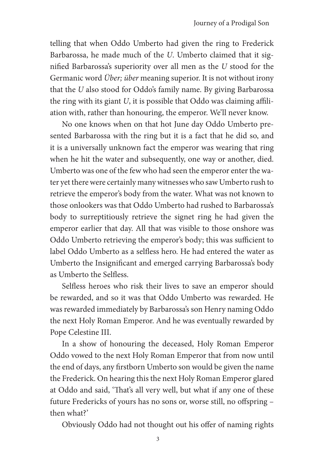telling that when Oddo Umberto had given the ring to Frederick Barbarossa, he made much of the *U*. Umberto claimed that it signified Barbarossa's superiority over all men as the *U* stood for the Germanic word *Über; über* meaning superior. It is not without irony that the *U* also stood for Oddo's family name. By giving Barbarossa the ring with its giant *U*, it is possible that Oddo was claiming affiliation with, rather than honouring, the emperor. We'll never know.

No one knows when on that hot June day Oddo Umberto presented Barbarossa with the ring but it is a fact that he did so, and it is a universally unknown fact the emperor was wearing that ring when he hit the water and subsequently, one way or another, died. Umberto was one of the few who had seen the emperor enter the water yet there were certainly many witnesses who saw Umberto rush to retrieve the emperor's body from the water. What was not known to those onlookers was that Oddo Umberto had rushed to Barbarossa's body to surreptitiously retrieve the signet ring he had given the emperor earlier that day. All that was visible to those onshore was Oddo Umberto retrieving the emperor's body; this was sufficient to label Oddo Umberto as a selfless hero. He had entered the water as Umberto the Insignificant and emerged carrying Barbarossa's body as Umberto the Selfless.

Selfless heroes who risk their lives to save an emperor should be rewarded, and so it was that Oddo Umberto was rewarded. He was rewarded immediately by Barbarossa's son Henry naming Oddo the next Holy Roman Emperor. And he was eventually rewarded by Pope Celestine III.

In a show of honouring the deceased, Holy Roman Emperor Oddo vowed to the next Holy Roman Emperor that from now until the end of days, any firstborn Umberto son would be given the name the Frederick. On hearing this the next Holy Roman Emperor glared at Oddo and said, 'That's all very well, but what if any one of these future Fredericks of yours has no sons or, worse still, no offspring – then what?'

Obviously Oddo had not thought out his offer of naming rights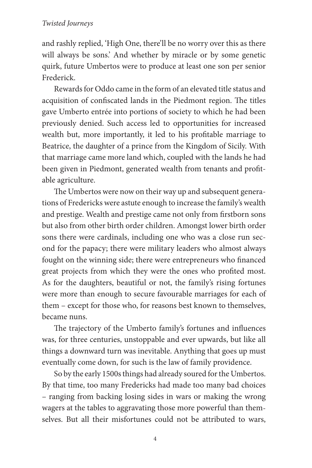and rashly replied, 'High One, there'll be no worry over this as there will always be sons.' And whether by miracle or by some genetic quirk, future Umbertos were to produce at least one son per senior Frederick.

Rewards for Oddo came in the form of an elevated title status and acquisition of confiscated lands in the Piedmont region. The titles gave Umberto entrée into portions of society to which he had been previously denied. Such access led to opportunities for increased wealth but, more importantly, it led to his profitable marriage to Beatrice, the daughter of a prince from the Kingdom of Sicily. With that marriage came more land which, coupled with the lands he had been given in Piedmont, generated wealth from tenants and profitable agriculture.

The Umbertos were now on their way up and subsequent generations of Fredericks were astute enough to increase the family's wealth and prestige. Wealth and prestige came not only from firstborn sons but also from other birth order children. Amongst lower birth order sons there were cardinals, including one who was a close run second for the papacy; there were military leaders who almost always fought on the winning side; there were entrepreneurs who financed great projects from which they were the ones who profited most. As for the daughters, beautiful or not, the family's rising fortunes were more than enough to secure favourable marriages for each of them – except for those who, for reasons best known to themselves, became nuns.

The trajectory of the Umberto family's fortunes and influences was, for three centuries, unstoppable and ever upwards, but like all things a downward turn was inevitable. Anything that goes up must eventually come down, for such is the law of family providence.

So by the early 1500s things had already soured for the Umbertos. By that time, too many Fredericks had made too many bad choices – ranging from backing losing sides in wars or making the wrong wagers at the tables to aggravating those more powerful than themselves. But all their misfortunes could not be attributed to wars,

4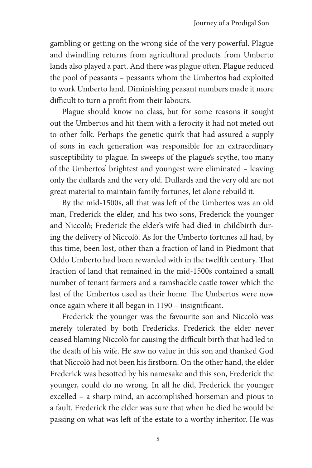gambling or getting on the wrong side of the very powerful. Plague and dwindling returns from agricultural products from Umberto lands also played a part. And there was plague often. Plague reduced the pool of peasants – peasants whom the Umbertos had exploited to work Umberto land. Diminishing peasant numbers made it more difficult to turn a profit from their labours.

Plague should know no class, but for some reasons it sought out the Umbertos and hit them with a ferocity it had not meted out to other folk. Perhaps the genetic quirk that had assured a supply of sons in each generation was responsible for an extraordinary susceptibility to plague. In sweeps of the plague's scythe, too many of the Umbertos' brightest and youngest were eliminated – leaving only the dullards and the very old. Dullards and the very old are not great material to maintain family fortunes, let alone rebuild it.

By the mid-1500s, all that was left of the Umbertos was an old man, Frederick the elder, and his two sons, Frederick the younger and Niccolò; Frederick the elder's wife had died in childbirth during the delivery of Niccolò. As for the Umberto fortunes all had, by this time, been lost, other than a fraction of land in Piedmont that Oddo Umberto had been rewarded with in the twelfth century. That fraction of land that remained in the mid-1500s contained a small number of tenant farmers and a ramshackle castle tower which the last of the Umbertos used as their home. The Umbertos were now once again where it all began in 1190 – insignificant.

Frederick the younger was the favourite son and Niccolò was merely tolerated by both Fredericks. Frederick the elder never ceased blaming Niccolò for causing the difficult birth that had led to the death of his wife. He saw no value in this son and thanked God that Niccolò had not been his firstborn. On the other hand, the elder Frederick was besotted by his namesake and this son, Frederick the younger, could do no wrong. In all he did, Frederick the younger excelled – a sharp mind, an accomplished horseman and pious to a fault. Frederick the elder was sure that when he died he would be passing on what was left of the estate to a worthy inheritor. He was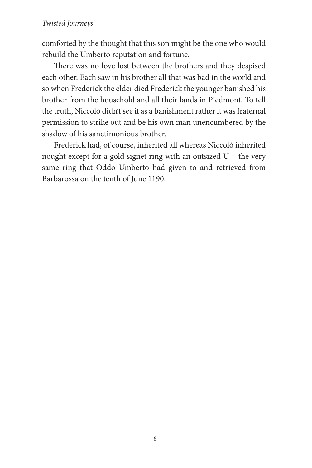comforted by the thought that this son might be the one who would rebuild the Umberto reputation and fortune.

There was no love lost between the brothers and they despised each other. Each saw in his brother all that was bad in the world and so when Frederick the elder died Frederick the younger banished his brother from the household and all their lands in Piedmont. To tell the truth, Niccolò didn't see it as a banishment rather it was fraternal permission to strike out and be his own man unencumbered by the shadow of his sanctimonious brother.

Frederick had, of course, inherited all whereas Niccolò inherited nought except for a gold signet ring with an outsized U – the very same ring that Oddo Umberto had given to and retrieved from Barbarossa on the tenth of June 1190.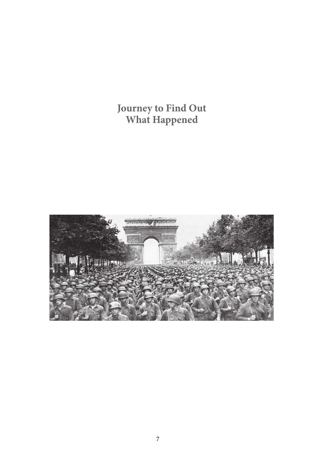# **Journey to Find Out What Happened**

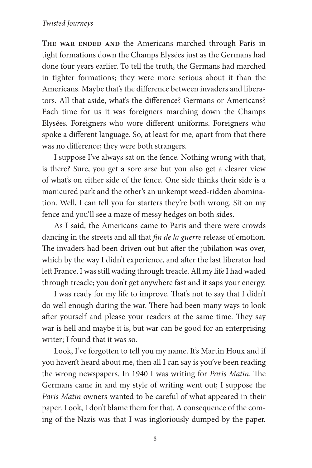THE WAR ENDED AND the Americans marched through Paris in tight formations down the Champs Elysées just as the Germans had done four years earlier. To tell the truth, the Germans had marched in tighter formations; they were more serious about it than the Americans. Maybe that's the difference between invaders and liberators. All that aside, what's the difference? Germans or Americans? Each time for us it was foreigners marching down the Champs Elysées. Foreigners who wore different uniforms. Foreigners who spoke a different language. So, at least for me, apart from that there was no difference; they were both strangers.

I suppose I've always sat on the fence. Nothing wrong with that, is there? Sure, you get a sore arse but you also get a clearer view of what's on either side of the fence. One side thinks their side is a manicured park and the other's an unkempt weed-ridden abomination. Well, I can tell you for starters they're both wrong. Sit on my fence and you'll see a maze of messy hedges on both sides.

As I said, the Americans came to Paris and there were crowds dancing in the streets and all that *fin de la guerre* release of emotion. The invaders had been driven out but after the jubilation was over, which by the way I didn't experience, and after the last liberator had left France, I was still wading through treacle. All my life I had waded through treacle; you don't get anywhere fast and it saps your energy.

I was ready for my life to improve. That's not to say that I didn't do well enough during the war. There had been many ways to look after yourself and please your readers at the same time. They say war is hell and maybe it is, but war can be good for an enterprising writer; I found that it was so.

Look, I've forgotten to tell you my name. It's Martin Houx and if you haven't heard about me, then all I can say is you've been reading the wrong newspapers. In 1940 I was writing for *Paris Matin*. The Germans came in and my style of writing went out; I suppose the *Paris Matin* owners wanted to be careful of what appeared in their paper. Look, I don't blame them for that. A consequence of the coming of the Nazis was that I was ingloriously dumped by the paper.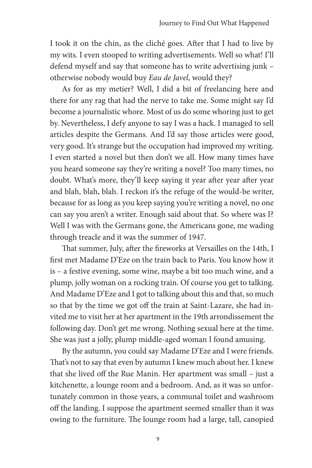I took it on the chin, as the cliché goes. After that I had to live by my wits. I even stooped to writing advertisements. Well so what! I'll defend myself and say that someone has to write advertising junk – otherwise nobody would buy *Eau de Javel*, would they?

As for as my metier? Well, I did a bit of freelancing here and there for any rag that had the nerve to take me. Some might say I'd become a journalistic whore. Most of us do some whoring just to get by. Nevertheless, I defy anyone to say I was a hack. I managed to sell articles despite the Germans. And I'd say those articles were good, very good. It's strange but the occupation had improved my writing. I even started a novel but then don't we all. How many times have you heard someone say they're writing a novel? Too many times, no doubt. What's more, they'll keep saying it year after year after year and blah, blah, blah. I reckon it's the refuge of the would-be writer, because for as long as you keep saying you're writing a novel, no one can say you aren't a writer. Enough said about that. So where was I? Well I was with the Germans gone, the Americans gone, me wading through treacle and it was the summer of 1947.

That summer, July, after the fireworks at Versailles on the 14th, I first met Madame D'Eze on the train back to Paris. You know how it is – a festive evening, some wine, maybe a bit too much wine, and a plump, jolly woman on a rocking train. Of course you get to talking. And Madame D'Eze and I got to talking about this and that, so much so that by the time we got off the train at Saint-Lazare, she had invited me to visit her at her apartment in the 19th arrondissement the following day. Don't get me wrong. Nothing sexual here at the time. She was just a jolly, plump middle-aged woman I found amusing.

By the autumn, you could say Madame D'Eze and I were friends. That's not to say that even by autumn I knew much about her. I knew that she lived off the Rue Manin. Her apartment was small – just a kitchenette, a lounge room and a bedroom. And, as it was so unfortunately common in those years, a communal toilet and washroom off the landing. I suppose the apartment seemed smaller than it was owing to the furniture. The lounge room had a large, tall, canopied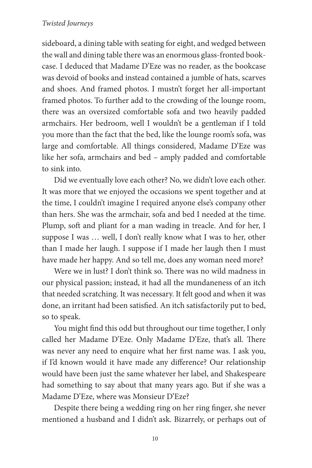sideboard, a dining table with seating for eight, and wedged between the wall and dining table there was an enormous glass-fronted bookcase. I deduced that Madame D'Eze was no reader, as the bookcase was devoid of books and instead contained a jumble of hats, scarves and shoes. And framed photos. I mustn't forget her all-important framed photos. To further add to the crowding of the lounge room, there was an oversized comfortable sofa and two heavily padded armchairs. Her bedroom, well I wouldn't be a gentleman if I told you more than the fact that the bed, like the lounge room's sofa, was large and comfortable. All things considered, Madame D'Eze was like her sofa, armchairs and bed – amply padded and comfortable to sink into.

Did we eventually love each other? No, we didn't love each other. It was more that we enjoyed the occasions we spent together and at the time, I couldn't imagine I required anyone else's company other than hers. She was the armchair, sofa and bed I needed at the time. Plump, soft and pliant for a man wading in treacle. And for her, I suppose I was … well, I don't really know what I was to her, other than I made her laugh. I suppose if I made her laugh then I must have made her happy. And so tell me, does any woman need more?

Were we in lust? I don't think so. There was no wild madness in our physical passion; instead, it had all the mundaneness of an itch that needed scratching. It was necessary. It felt good and when it was done, an irritant had been satisfied. An itch satisfactorily put to bed, so to speak.

You might find this odd but throughout our time together, I only called her Madame D'Eze. Only Madame D'Eze, that's all. There was never any need to enquire what her first name was. I ask you, if I'd known would it have made any difference? Our relationship would have been just the same whatever her label, and Shakespeare had something to say about that many years ago. But if she was a Madame D'Eze, where was Monsieur D'Eze?

Despite there being a wedding ring on her ring finger, she never mentioned a husband and I didn't ask. Bizarrely, or perhaps out of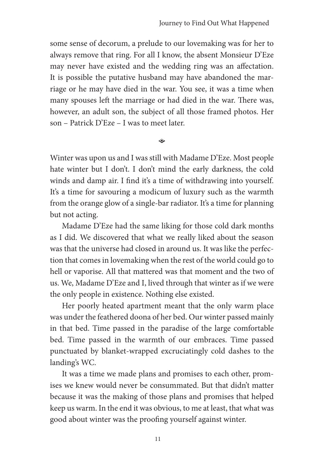some sense of decorum, a prelude to our lovemaking was for her to always remove that ring. For all I know, the absent Monsieur D'Eze may never have existed and the wedding ring was an affectation. It is possible the putative husband may have abandoned the marriage or he may have died in the war. You see, it was a time when many spouses left the marriage or had died in the war. There was, however, an adult son, the subject of all those framed photos. Her son – Patrick D'Eze – I was to meet later.

 $\hat{\bullet}$ 

Winter was upon us and I was still with Madame D'Eze. Most people hate winter but I don't. I don't mind the early darkness, the cold winds and damp air. I find it's a time of withdrawing into yourself. It's a time for savouring a modicum of luxury such as the warmth from the orange glow of a single-bar radiator. It's a time for planning but not acting.

Madame D'Eze had the same liking for those cold dark months as I did. We discovered that what we really liked about the season was that the universe had closed in around us. It was like the perfection that comes in lovemaking when the rest of the world could go to hell or vaporise. All that mattered was that moment and the two of us. We, Madame D'Eze and I, lived through that winter as if we were the only people in existence. Nothing else existed.

Her poorly heated apartment meant that the only warm place was under the feathered doona of her bed. Our winter passed mainly in that bed. Time passed in the paradise of the large comfortable bed. Time passed in the warmth of our embraces. Time passed punctuated by blanket-wrapped excruciatingly cold dashes to the landing's WC.

It was a time we made plans and promises to each other, promises we knew would never be consummated. But that didn't matter because it was the making of those plans and promises that helped keep us warm. In the end it was obvious, to me at least, that what was good about winter was the proofing yourself against winter.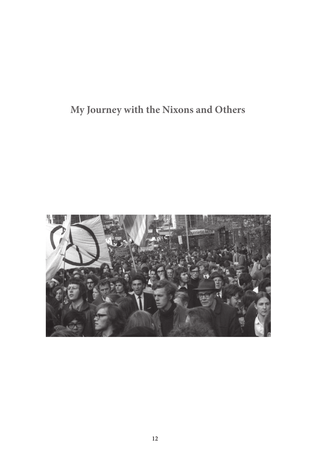# **My Journey with the Nixons and Others**

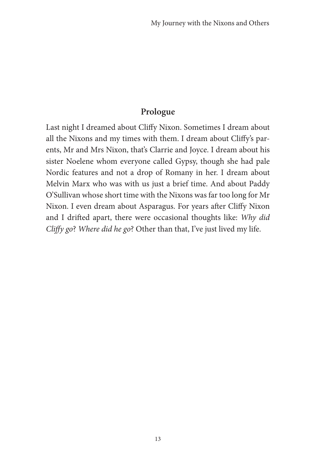# **Prologue**

Last night I dreamed about Cliffy Nixon. Sometimes I dream about all the Nixons and my times with them. I dream about Cliffy's parents, Mr and Mrs Nixon, that's Clarrie and Joyce. I dream about his sister Noelene whom everyone called Gypsy, though she had pale Nordic features and not a drop of Romany in her. I dream about Melvin Marx who was with us just a brief time. And about Paddy O'Sullivan whose short time with the Nixons was far too long for Mr Nixon. I even dream about Asparagus. For years after Cliffy Nixon and I drifted apart, there were occasional thoughts like: *Why did Cliffy go*? *Where did he go*? Other than that, I've just lived my life.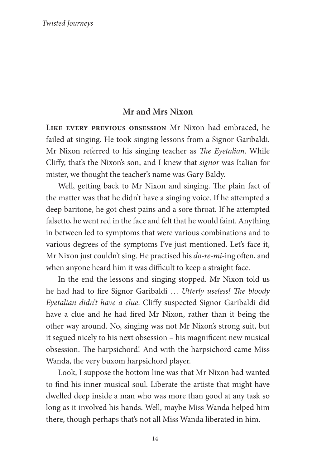# **Mr and Mrs Nixon**

**Like every previous obsession** Mr Nixon had embraced, he failed at singing. He took singing lessons from a Signor Garibaldi. Mr Nixon referred to his singing teacher as *The Eyetalian*. While Cliffy, that's the Nixon's son, and I knew that *signor* was Italian for mister, we thought the teacher's name was Gary Baldy.

Well, getting back to Mr Nixon and singing. The plain fact of the matter was that he didn't have a singing voice. If he attempted a deep baritone, he got chest pains and a sore throat. If he attempted falsetto, he went red in the face and felt that he would faint. Anything in between led to symptoms that were various combinations and to various degrees of the symptoms I've just mentioned. Let's face it, Mr Nixon just couldn't sing. He practised his *do-re-mi-*ing often, and when anyone heard him it was difficult to keep a straight face.

In the end the lessons and singing stopped. Mr Nixon told us he had had to fire Signor Garibaldi … *Utterly useless! The bloody Eyetalian didn't have a clue*. Cliffy suspected Signor Garibaldi did have a clue and he had fired Mr Nixon, rather than it being the other way around. No, singing was not Mr Nixon's strong suit, but it segued nicely to his next obsession – his magnificent new musical obsession. The harpsichord! And with the harpsichord came Miss Wanda, the very buxom harpsichord player.

Look, I suppose the bottom line was that Mr Nixon had wanted to find his inner musical soul. Liberate the artiste that might have dwelled deep inside a man who was more than good at any task so long as it involved his hands. Well, maybe Miss Wanda helped him there, though perhaps that's not all Miss Wanda liberated in him.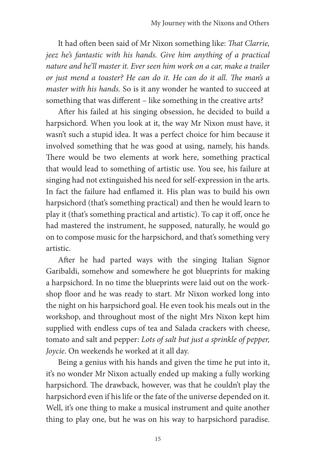It had often been said of Mr Nixon something like: *That Clarrie, jeez he's fantastic with his hands. Give him anything of a practical nature and he'll master it. Ever seen him work on a car, make a trailer or just mend a toaster? He can do it. He can do it all. The man's a master with his hands.* So is it any wonder he wanted to succeed at something that was different – like something in the creative arts?

After his failed at his singing obsession, he decided to build a harpsichord. When you look at it, the way Mr Nixon must have, it wasn't such a stupid idea. It was a perfect choice for him because it involved something that he was good at using, namely, his hands. There would be two elements at work here, something practical that would lead to something of artistic use. You see, his failure at singing had not extinguished his need for self-expression in the arts. In fact the failure had enflamed it. His plan was to build his own harpsichord (that's something practical) and then he would learn to play it (that's something practical and artistic). To cap it off, once he had mastered the instrument, he supposed, naturally, he would go on to compose music for the harpsichord, and that's something very artistic.

After he had parted ways with the singing Italian Signor Garibaldi, somehow and somewhere he got blueprints for making a harpsichord. In no time the blueprints were laid out on the workshop floor and he was ready to start. Mr Nixon worked long into the night on his harpsichord goal. He even took his meals out in the workshop, and throughout most of the night Mrs Nixon kept him supplied with endless cups of tea and Salada crackers with cheese, tomato and salt and pepper: *Lots of salt but just a sprinkle of pepper, Joycie*. On weekends he worked at it all day.

Being a genius with his hands and given the time he put into it, it's no wonder Mr Nixon actually ended up making a fully working harpsichord. The drawback, however, was that he couldn't play the harpsichord even if his life or the fate of the universe depended on it. Well, it's one thing to make a musical instrument and quite another thing to play one, but he was on his way to harpsichord paradise.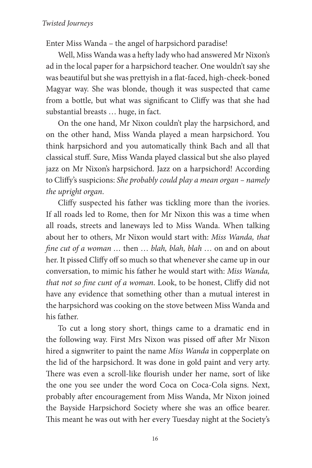Enter Miss Wanda – the angel of harpsichord paradise!

Well, Miss Wanda was a hefty lady who had answered Mr Nixon's ad in the local paper for a harpsichord teacher. One wouldn't say she was beautiful but she was prettyish in a flat-faced, high-cheek-boned Magyar way. She was blonde, though it was suspected that came from a bottle, but what was significant to Cliffy was that she had substantial breasts … huge, in fact.

On the one hand, Mr Nixon couldn't play the harpsichord, and on the other hand, Miss Wanda played a mean harpsichord. You think harpsichord and you automatically think Bach and all that classical stuff. Sure, Miss Wanda played classical but she also played jazz on Mr Nixon's harpsichord. Jazz on a harpsichord! According to Cliffy's suspicions: *She probably could play a mean organ – namely the upright organ*.

Cliffy suspected his father was tickling more than the ivories. If all roads led to Rome, then for Mr Nixon this was a time when all roads, streets and laneways led to Miss Wanda. When talking about her to others, Mr Nixon would start with: *Miss Wanda, that fine cut of a woman …* then … *blah, blah, blah* … on and on about her. It pissed Cliffy off so much so that whenever she came up in our conversation, to mimic his father he would start with: *Miss Wanda, that not so fine cunt of a woman*. Look, to be honest, Cliffy did not have any evidence that something other than a mutual interest in the harpsichord was cooking on the stove between Miss Wanda and his father.

To cut a long story short, things came to a dramatic end in the following way. First Mrs Nixon was pissed off after Mr Nixon hired a signwriter to paint the name *Miss Wanda* in copperplate on the lid of the harpsichord. It was done in gold paint and very arty. There was even a scroll-like flourish under her name, sort of like the one you see under the word Coca on Coca-Cola signs. Next, probably after encouragement from Miss Wanda, Mr Nixon joined the Bayside Harpsichord Society where she was an office bearer. This meant he was out with her every Tuesday night at the Society's